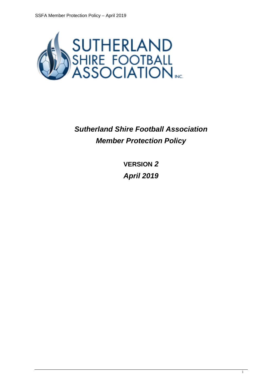

*Sutherland Shire Football Association Member Protection Policy*

> **VERSION** *2 April 2019*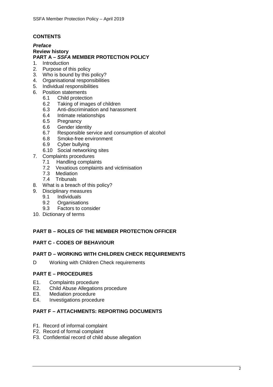## **CONTENTS**

#### *Preface* **Review history PART A –** *SSFA* **MEMBER PROTECTION POLICY**

- 1. Introduction
- 2. Purpose of this policy
- 3. Who is bound by this policy?
- 4. Organisational responsibilities
- 5. Individual responsibilities
- 6. Position statements
	- 6.1 Child protection<br>6.2 Taking of image
	- Taking of images of children
	- 6.3 Anti-discrimination and harassment
	- 6.4 Intimate relationships
	- 6.5 Pregnancy
	- 6.6 Gender identity
	- 6.7 Responsible service and consumption of alcohol<br>6.8 Smoke-free environment
	- Smoke-free environment
	- 6.9 Cyber bullying
	- 6.10 Social networking sites
- 7. Complaints procedures
	- 7.1 Handling complaints<br>7.2 Vexatious complaints
	- Vexatious complaints and victimisation
	- 7.3 Mediation
	- 7.4 Tribunals
- 8. What is a breach of this policy?
- 9. Disciplinary measures
	- 9.1 Individuals
	- 9.2 Organisations<br>9.3 Factors to con-
	- Factors to consider
- 10. Dictionary of terms

## **PART B – ROLES OF THE MEMBER PROTECTION OFFICER**

## **PART C - CODES OF BEHAVIOUR**

## **PART D – WORKING WITH CHILDREN CHECK REQUIREMENTS**

D Working with Children Check requirements

## **PART E – PROCEDURES**

- E1. Complaints procedure
- E2. Child Abuse Allegations procedure<br>E3. Mediation procedure
- E3. Mediation procedure<br>E4. Investigations proced
- Investigations procedure

## **PART F – ATTACHMENTS: REPORTING DOCUMENTS**

- F1. Record of informal complaint
- F2. Record of formal complaint
- F3. Confidential record of child abuse allegation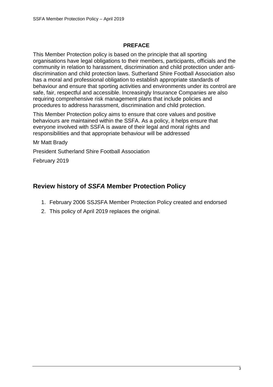## **PREFACE**

This Member Protection policy is based on the principle that all sporting organisations have legal obligations to their members, participants, officials and the community in relation to harassment, discrimination and child protection under antidiscrimination and child protection laws. Sutherland Shire Football Association also has a moral and professional obligation to establish appropriate standards of behaviour and ensure that sporting activities and environments under its control are safe, fair, respectful and accessible. Increasingly Insurance Companies are also requiring comprehensive risk management plans that include policies and procedures to address harassment, discrimination and child protection.

This Member Protection policy aims to ensure that core values and positive behaviours are maintained within the SSFA. As a policy, it helps ensure that everyone involved with SSFA is aware of their legal and moral rights and responsibilities and that appropriate behaviour will be addressed

Mr Matt Brady

President Sutherland Shire Football Association

February 2019

## **Review history of** *SSFA* **Member Protection Policy**

- 1. February 2006 SSJSFA Member Protection Policy created and endorsed
- 2. This policy of April 2019 replaces the original.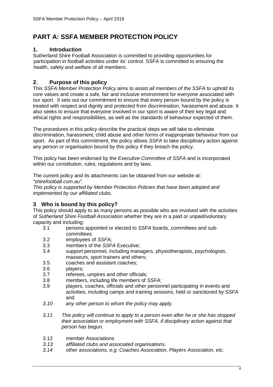## **PART A: SSFA MEMBER PROTECTION POLICY**

## **1. Introduction**

Sutherland Shire Football Association is committed to providing opportunities for participation in football activities under its' control. SSFA is committed to ensuring the health, safety and welfare of all members.

## **2. Purpose of this policy**

This *SSFA Member Protection Policy* aims to assist *all members of the SSFA* to uphold its core values and create a safe, fair and inclusive environment for everyone associated with our sport. It sets out our commitment to ensure that every person bound by the policy is treated with respect and dignity and protected from discrimination, harassment and abuse. It also seeks to ensure that everyone involved in our sport is aware of their key legal and ethical rights and responsibilities, as well as the standards of behaviour expected of them.

The procedures in this policy describe the practical steps we will take to eliminate discrimination, harassment, child abuse and other forms of inappropriate behaviour from our sport. As part of this commitment, the policy allows *SSFA* to take disciplinary action against any person or organisation bound by this policy if they breach the policy.

This policy has been endorsed by *the Executive Committee of SSFA* and is incorporated within our constitution, rules, regulations and by laws.

The current policy and its attachments can be obtained from our website at: *"shirefootball.com.au".*

*This policy is supported by Member Protection Policies that have been adopted and implemented by our affiliated clubs.*

## **3 Who is bound by this policy?**

This policy should apply to as many persons as possible who are involved with the activities of *Sutherland Shire Football Association* whether they are in a paid or unpaid/voluntary capacity and including:

- 3.1 persons appointed or elected to *SSFA* boards, committees and subcommittees
- 3.2 employees of *SSFA;*
- 3.3 members of the *SSFA* Executive;
- support personnel, including managers, physiotherapists, psychologists, masseurs, sport trainers and others;
- 3.5 coaches and assistant coaches;
- 
- 3.6 players;<br>3.7 referees referees, umpires and other officials;
- 3.8 members, including life members of *SSFA;*
- 3.9 players, coaches, officials and other personnel participating in events and activities, including camps and training sessions, held or sanctioned by *SSFA*  and
- *3.10 any other person to whom the policy may apply.*
- *3.11 This policy will continue to apply to a person even after he or she has stopped their association or employment with SSFA, if disciplinary action against that person has begun.*
- 3.12 member Associations<br>3.13 affiliated clubs and as
- *3.13 affiliated clubs and associated organisations.*
- *3.14 other associations, e.g. Coaches Association, Players Association, etc.*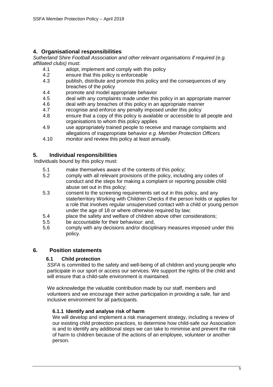## **4. Organisational responsibilities**

*Sutherland Shire Football Association and other relevant organisations if required (e.g. affiliated clubs)* must:

- 4.1 adopt, implement and comply with this policy
- 4.2 ensure that this policy is enforceable<br>4.3 bublish, distribute and promote this p
- publish, distribute and promote this policy and the consequences of any breaches of the policy
- 4.4 promote and model appropriate behavior<br>4.5 deal with any complaints made under this
- 4.5 deal with any complaints made under this policy in an appropriate manner<br>4.6 deal with any breaches of this policy in an appropriate manner
- deal with any breaches of this policy in an appropriate manner
- 4.7 recognise and enforce any penalty imposed under this policy
- 4.8 ensure that a copy of this policy is available or accessible to all people and organisations to whom this policy applies
- 4.9 use appropriately trained people to receive and manage complaints and allegations of inappropriate behavior *e.g. Member Protection Officers*
- 4.10 monitor and review this policy at least annually.

## **5. Individual responsibilities**

Individuals bound by this policy must:

- 5.1 make themselves aware of the contents of this policy;<br>5.2 comply with all relevant provisions of the policy, include
- 5.2 comply with all relevant provisions of the policy, including any codes of conduct and the steps for making a complaint or reporting possible child abuse set out in this policy;
- 5.3 consent to the screening requirements set out in this policy, and any state/territory Working with Children Checks if the person holds or applies for a role that involves regular unsupervised contact with a child or young person under the age of 18 or where otherwise required by law;
- 5.4 place the safety and welfare of children above other considerations;
- 5.5 be accountable for their behaviour: and,
- 5.6 comply with any decisions and/or disciplinary measures imposed under this policy.

## **6. Position statements**

## **6.1 Child protection**

*SSFA* is committed to the safety and well-being of all children and young people who participate in our sport or access our services. We support the rights of the child and will ensure that a child-safe environment is maintained.

We acknowledge the valuable contribution made by our staff, members and volunteers and we encourage their active participation in providing a safe, fair and inclusive environment for all participants.

#### **6.1.1 Identify and analyse risk of harm**

We will develop and implement a risk management strategy, including a review of our existing child protection practices, to determine how child-safe our Association is and to identify any additional steps we can take to minimise and prevent the risk of harm to children because of the actions of an employee, volunteer or another person.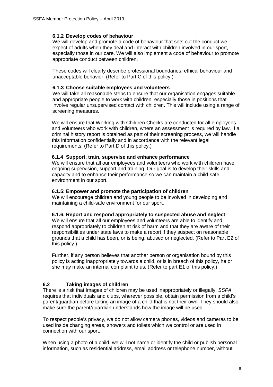#### **6.1.2 Develop codes of behaviour**

We will develop and promote a code of behaviour that sets out the conduct we expect of adults when they deal and interact with children involved in our sport, especially those in our care. We will also implement a code of behaviour to promote appropriate conduct between children.

These codes will clearly describe professional boundaries, ethical behaviour and unacceptable behavior. (Refer to Part C of this policy.)

#### **6.1.3 Choose suitable employees and volunteers**

We will take all reasonable steps to ensure that our organisation engages suitable and appropriate people to work with children, especially those in positions that involve regular unsupervised contact with children. This will include using a range of screening measures.

We will ensure that Working with Children Checks are conducted for all employees and volunteers who work with children, where an assessment is required by law. If a criminal history report is obtained as part of their screening process, we will handle this information confidentially and in accordance with the relevant legal requirements. (Refer to Part D of this policy.)

#### **6.1.4 Support, train, supervise and enhance performance**

We will ensure that all our employees and volunteers who work with children have ongoing supervision, support and training. Our goal is to develop their skills and capacity and to enhance their performance so we can maintain a child-safe environment in our sport.

#### **6.1.5: Empower and promote the participation of children**

We will encourage children and young people to be involved in developing and maintaining a child-safe environment for our sport.

#### **6.1.6: Report and respond appropriately to suspected abuse and neglect**

We will ensure that all our employees and volunteers are able to identify and respond appropriately to children at risk of harm and that they are aware of their responsibilities under state laws to make a report if they suspect on reasonable grounds that a child has been, or is being, abused or neglected. (Refer to Part E2 of this policy.)

Further, if any person believes that another person or organisation bound by this policy is acting inappropriately towards a child, or is in breach of this policy, he or she may make an internal complaint to us. (Refer to part E1 of this policy.)

## **6.2 Taking images of children**

There is a risk that Images of children may be used inappropriately or illegally. *SSFA*  requires that individuals and clubs, wherever possible, obtain permission from a child's parent/guardian before taking an image of a child that is not their own. They should also make sure the parent/guardian understands how the image will be used.

To respect people's privacy, we do not allow camera phones, videos and cameras to be used inside changing areas, showers and toilets which we control or are used in connection with our sport.

When using a photo of a child, we will not name or identify the child or publish personal information, such as residential address, email address or telephone number, without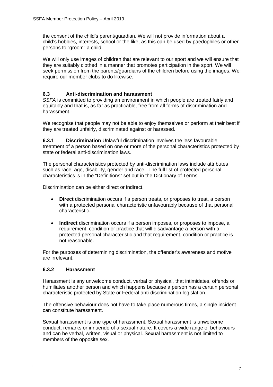the consent of the child's parent/guardian. We will not provide information about a child's hobbies, interests, school or the like, as this can be used by paedophiles or other persons to "groom" a child.

We will only use images of children that are relevant to our sport and we will ensure that they are suitably clothed in a manner that promotes participation in the sport. We will seek permission from the parents/guardians of the children before using the images. We require our member clubs to do likewise.

## **6.3 Anti-discrimination and harassment**

*SSFA* is committed to providing an environment in which people are treated fairly and equitably and that is, as far as practicable, free from all forms of discrimination and harassment.

We recognise that people may not be able to enjoy themselves or perform at their best if they are treated unfairly, discriminated against or harassed.

**6.3.1 Discrimination** Unlawful discrimination involves the less favourable treatment of a person based on one or more of the personal characteristics protected by state or federal anti-discrimination laws.

The personal characteristics protected by anti-discrimination laws include attributes such as race, age, disability, gender and race. The full list of protected personal characteristics is in the "Definitions" set out in the Dictionary of Terms.

Discrimination can be either direct or indirect.

- **Direct** discrimination occurs if a person treats, or proposes to treat, a person with a protected personal characteristic unfavourably because of that personal characteristic.
- **Indirect** discrimination occurs if a person imposes, or proposes to impose, a requirement, condition or practice that will disadvantage a person with a protected personal characteristic and that requirement, condition or practice is not reasonable.

For the purposes of determining discrimination, the offender's awareness and motive are irrelevant.

## **6.3.2 Harassment**

Harassment is any unwelcome conduct, verbal or physical, that intimidates, offends or humiliates another person and which happens because a person has a certain personal characteristic protected by State or Federal anti-discrimination legislation.

The offensive behaviour does not have to take place numerous times, a single incident can constitute harassment.

Sexual harassment is one type of harassment. Sexual harassment is unwelcome conduct, remarks or innuendo of a sexual nature. It covers a wide range of behaviours and can be verbal, written, visual or physical. Sexual harassment is not limited to members of the opposite sex.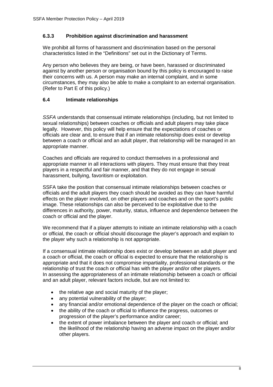#### **6.3.3 Prohibition against discrimination and harassment**

We prohibit all forms of harassment and discrimination based on the personal characteristics listed in the "Definitions" set out in the Dictionary of Terms.

Any person who believes they are being, or have been, harassed or discriminated against by another person or organisation bound by this policy is encouraged to raise their concerns with us. A person may make an internal complaint, and in some circumstances, they may also be able to make a complaint to an external organisation. (Refer to Part E of this policy.)

#### **6.4 Intimate relationships**

*SSFA* understands that consensual intimate relationships (including, but not limited to sexual relationships) between coaches or officials and adult players may take place legally. However, this policy will help ensure that the expectations of coaches or officials are clear and, to ensure that if an intimate relationship does exist or develop between a coach or official and an adult player, that relationship will be managed in an appropriate manner.

Coaches and officials are required to conduct themselves in a professional and appropriate manner in all interactions with players. They must ensure that they treat players in a respectful and fair manner, and that they do not engage in sexual harassment, bullying, favoritism or exploitation.

SSFA take the position that consensual intimate relationships between coaches or officials and the adult players they coach should be avoided as they can have harmful effects on the player involved, on other players and coaches and on the sport's public image. These relationships can also be perceived to be exploitative due to the differences in authority, power, maturity, status, influence and dependence between the coach or official and the player.

We recommend that if a player attempts to initiate an intimate relationship with a coach or official, the coach or official should discourage the player's approach and explain to the player why such a relationship is not appropriate.

If a consensual intimate relationship does exist or develop between an adult player and a coach or official, the coach or official is expected to ensure that the relationship is appropriate and that it does not compromise impartiality, professional standards or the relationship of trust the coach or official has with the player and/or other players. In assessing the appropriateness of an intimate relationship between a coach or official and an adult player, relevant factors include, but are not limited to:

- the relative age and social maturity of the player;
- any potential vulnerability of the player;
- any financial and/or emotional dependence of the player on the coach or official;
- the ability of the coach or official to influence the progress, outcomes or progression of the player's performance and/or career;
- the extent of power imbalance between the player and coach or official; and the likelihood of the relationship having an adverse impact on the player and/or other players.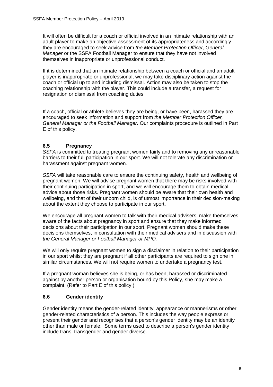It will often be difficult for a coach or official involved in an intimate relationship with an adult player to make an objective assessment of its appropriateness and accordingly they are encouraged to seek advice from *the Member Protection Officer, General Manager* or the SSFA Football Manager to ensure that they have not involved themselves in inappropriate or unprofessional conduct.

If it is determined that an intimate relationship between a coach or official and an adult player is inappropriate or unprofessional, we may take disciplinary action against the coach or official up to and including dismissal. Action may also be taken to stop the coaching relationship with the player. This could include a transfer, a request for resignation or dismissal from coaching duties.

If a coach, official or athlete believes they are being, or have been, harassed they are encouraged to seek information and support from *the Member Protection Officer, General Manager or the Football Manager.* Our complaints procedure is outlined in Part E of this policy.

## **6.5 Pregnancy**

*SSFA* is committed to treating pregnant women fairly and to removing any unreasonable barriers to their full participation in our sport. We will not tolerate any discrimination or harassment against pregnant women.

*SSFA* will take reasonable care to ensure the continuing safety, health and wellbeing of pregnant women. We will advise pregnant women that there may be risks involved with their continuing participation in sport, and we will encourage them to obtain medical advice about those risks. Pregnant women should be aware that their own health and wellbeing, and that of their unborn child, is of utmost importance in their decision-making about the extent they choose to participate in our sport.

We encourage all pregnant women to talk with their medical advisers, make themselves aware of the facts about pregnancy in sport and ensure that they make informed decisions about their participation in our sport. Pregnant women should make these decisions themselves, in consultation with their medical advisers and in discussion with *the General Manager or Football Manager or MPO.*

We will only require pregnant women to sign a disclaimer in relation to their participation in our sport whilst they are pregnant if all other participants are required to sign one in similar circumstances. We will not require women to undertake a pregnancy test.

If a pregnant woman believes she is being, or has been, harassed or discriminated against by another person or organisation bound by this Policy, she may make a complaint. (Refer to Part E of this policy.)

## **6.6 Gender identity**

Gender identity means the gender-related identity, appearance or mannerisms or other gender-related characteristics of a person. This includes the way people express or present their gender and recognises that a person's gender identity may be an identity other than male or female. Some terms used to describe a person's gender identity include trans, transgender and gender diverse.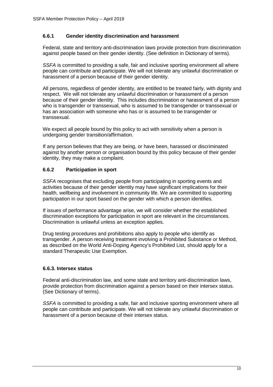#### **6.6.1 Gender identity discrimination and harassment**

Federal, state and territory anti-discrimination laws provide protection from discrimination against people based on their gender identity. (See definition in Dictionary of terms).

*SSFA* is committed to providing a safe, fair and inclusive sporting environment all where people can contribute and participate. We will not tolerate any unlawful discrimination or harassment of a person because of their gender identity.

All persons, regardless of gender identity, are entitled to be treated fairly, with dignity and respect. We will not tolerate any unlawful discrimination or harassment of a person because of their gender identity. This includes discrimination or harassment of a person who is transgender or transsexual, who is assumed to be transgender or transsexual or has an association with someone who has or is assumed to be transgender or transsexual.

We expect all people bound by this policy to act with sensitivity when a person is undergoing gender transition/affirmation.

If any person believes that they are being, or have been, harassed or discriminated against by another person or organisation bound by this policy because of their gender identity, they may make a complaint.

## **6.6.2 Participation in sport**

*SSFA* recognises that excluding people from participating in sporting events and activities because of their gender identity may have significant implications for their health, wellbeing and involvement in community life. We are committed to supporting participation in our sport based on the gender with which a person identifies.

If issues of performance advantage arise, we will consider whether the established discrimination exceptions for participation in sport are relevant in the circumstances. Discrimination is unlawful unless an exception applies.

Drug testing procedures and prohibitions also apply to people who identify as transgender. A person receiving treatment involving a Prohibited Substance or Method, as described on the World Anti-Doping Agency's Prohibited List, should apply for a standard Therapeutic Use Exemption.

#### **6.6.3. Intersex status**

Federal anti-discrimination law, and some state and territory anti-discrimination laws, provide protection from discrimination against a person based on their intersex status. (See Dictionary of terms).

*SSFA* is committed to providing a safe, fair and inclusive sporting environment where all people can contribute and participate. We will not tolerate any unlawful discrimination or harassment of a person because of their intersex status.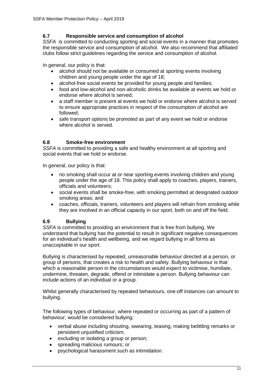## **6.7 Responsible service and consumption of alcohol**

*SSFA* is committed to conducting sporting and social events in a manner that promotes the responsible service and consumption of alcohol. We also recommend that affiliated clubs follow strict guidelines regarding the service and consumption of alcohol.

In general, our policy is that:

- alcohol should not be available or consumed at sporting events involving children and young people under the age of 18;
- alcohol-free social events be provided for young people and families;
- food and low-alcohol and non-alcoholic drinks be available at events we hold or endorse where alcohol is served;
- a staff member is present at events we hold or endorse where alcohol is served to ensure appropriate practices in respect of the consumption of alcohol are followed;
- safe transport options be promoted as part of any event we hold or endorse where alcohol is served.

#### **6.8 Smoke-free environment**

*SSFA* is committed to providing a safe and healthy environment at all sporting and social events that we hold or endorse.

In general, our policy is that:

- no smoking shall occur at or near sporting events involving children and young people under the age of 18. This policy shall apply to coaches, players, trainers, officials and volunteers;
- social events shall be smoke-free, with smoking permitted at designated outdoor smoking areas; and
- coaches, officials, trainers, volunteers and players will refrain from smoking while they are involved in an official capacity in our sport, both on and off the field.

## **6.9 Bullying**

*SSFA* is committed to providing an environment that is free from bullying. We understand that bullying has the potential to result in significant negative consequences for an individual's health and wellbeing, and we regard bullying in all forms as unacceptable in our sport.

Bullying is characterised by repeated, unreasonable behaviour directed at a person, or group of persons, that creates a risk to health and safety. Bullying behaviour is that which a reasonable person in the circumstances would expect to victimise, humiliate, undermine, threaten, degrade, offend or intimidate a person. Bullying behaviour can include actions of an individual or a group.

Whilst generally characterised by repeated behaviours, one-off instances can amount to bullying.

The following types of behaviour, where repeated or occurring as part of a pattern of behaviour, would be considered bullying:

- verbal abuse including shouting, swearing, teasing, making belittling remarks or persistent unjustified criticism;
- excluding or isolating a group or person;
- spreading malicious rumours; or
- psychological harassment such as intimidation.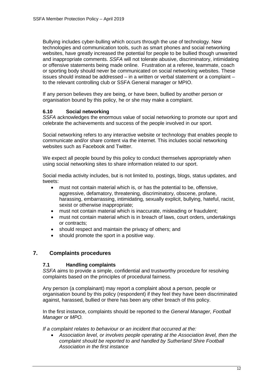Bullying includes cyber-bulling which occurs through the use of technology. New technologies and communication tools, such as smart phones and social networking websites, have greatly increased the potential for people to be bullied though unwanted and inappropriate comments. *SSFA* will not tolerate abusive, discriminatory, intimidating or offensive statements being made online. Frustration at a referee, teammate, coach or sporting body should never be communicated on social networking websites. These issues should instead be addressed – in a written or verbal statement or a complaint – to the relevant controlling club or SSFA General manager or MPIO.

If any person believes they are being, or have been, bullied by another person or organisation bound by this policy, he or she may make a complaint.

#### **6.10 Social networking**

*SSFA* acknowledges the enormous value of social networking to promote our sport and celebrate the achievements and success of the people involved in our sport.

Social networking refers to any interactive website or technology that enables people to communicate and/or share content via the internet. This includes social networking websites such as Facebook and Twitter.

We expect all people bound by this policy to conduct themselves appropriately when using social networking sites to share information related to our sport.

Social media activity includes, but is not limited to, postings, blogs, status updates, and tweets:

- must not contain material which is, or has the potential to be, offensive, aggressive, defamatory, threatening, discriminatory, obscene, profane, harassing, embarrassing, intimidating, sexually explicit, bullying, hateful, racist, sexist or otherwise inappropriate;
- must not contain material which is inaccurate, misleading or fraudulent;
- must not contain material which is in breach of laws, court orders, undertakings or contracts;
- should respect and maintain the privacy of others; and
- should promote the sport in a positive way.

## **7. Complaints procedures**

#### **7.1 Handling complaints**

*SSFA* aims to provide a simple, confidential and trustworthy procedure for resolving complaints based on the principles of procedural fairness.

Any person (a complainant) may report a complaint about a person, people or organisation bound by this policy (respondent) if they feel they have been discriminated against, harassed, bullied or there has been any other breach of this policy.

In the first instance, complaints should be reported to the *General Manager, Football Manager or MPO.*

*If a complaint relates to behaviour or an incident that occurred at the:*

• Association level, or involves people operating at the Association level, then the *complaint should be reported to and handled by Sutherland Shire Football Association in the first instance*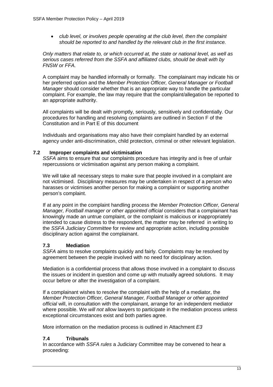• *club level, or involves people operating at the club level, then the complaint should be reported to and handled by the relevant club in the first instance.*

*Only matters that relate to, or which occurred at, the state or national level, as well as serious cases referred from the SSFA and affiliated clubs, should be dealt with by FNSW or FFA.*

A complaint may be handled informally or formally. The complainant may indicate his or her preferred option and the *Member Protection Officer, General Manager or Football Manager* should consider whether that is an appropriate way to handle the particular complaint. For example, the law may require that the complaint/allegation be reported to an appropriate authority.

All complaints will be dealt with promptly, seriously, sensitively and confidentially. Our procedures for handling and resolving complaints are outlined in Section F of the Constitution and in Part E of this document

Individuals and organisations may also have their complaint handled by an external agency under anti-discrimination, child protection, criminal or other relevant legislation.

#### **7.2 Improper complaints and victimisation**

*SSFA* aims to ensure that our complaints procedure has integrity and is free of unfair repercussions or victimisation against any person making a complaint.

We will take all necessary steps to make sure that people involved in a complaint are not victimised. Disciplinary measures may be undertaken in respect of a person who harasses or victimises another person for making a complaint or supporting another person's complaint.

If at any point in the complaint handling process the *Member Protection Officer, General Manager, Football manager or other appointed official considers that a complainant has* knowingly made an untrue complaint, or the complaint is malicious or inappropriately intended to cause distress to the respondent, the matter may be referred in writing to the *SSFA Judiciary Committee* for review and appropriate action, including possible disciplinary action against the complainant.

## **7.3 Mediation**

*SSFA* aims to resolve complaints quickly and fairly. Complaints may be resolved by agreement between the people involved with no need for disciplinary action.

Mediation is a confidential process that allows those involved in a complaint to discuss the issues or incident in question and come up with mutually agreed solutions. It may occur before or after the investigation of a complaint.

If a complainant wishes to resolve the complaint with the help of a mediator, the *Member Protection Officer, General Manager, Football Manager or other appointed official* will, in consultation with the complainant, arrange for an independent mediator where possible. We *will not* allow lawyers to participate in the mediation process unless exceptional circumstances exist and both parties agree.

More information on the mediation process is outlined in Attachment *E3*

## **7.4 Tribunals**

In accordance with *SSFA rules* a Judiciary Committee may be convened to hear a proceeding: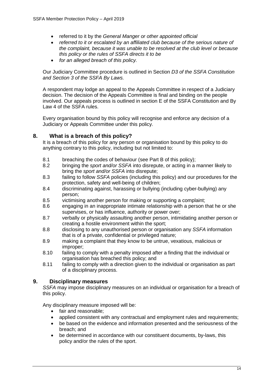- referred to it by the *General Manger or other appointed official*
- *referred to it or escalated by an affiliated club because of the serious nature of the complaint, because it was unable to be resolved at the club level or because this policy or the rules of SSFA directs it to be*
- *for an alleged breach of this policy.*

Our Judiciary Committee procedure is outlined in Section *D3 of the SSFA Constitution and Section 3 of the SSFA By Laws.*

A respondent may lodge an appeal to the Appeals Committee in respect of a Judiciary decision. The decision of the Appeals Committee is final and binding on the people involved. Our appeals process is outlined in section E of the SSFA Constitution and By Law 4 of the SSFA rules.

Every organisation bound by this policy will recognise and enforce any decision of a Judiciary or Appeals Committee under this policy.

## **8. What is a breach of this policy?**

It is a breach of this policy for any person or organisation bound by this policy to do anything contrary to this policy, including but not limited to:

- 8.1 breaching the codes of behaviour (see Part B of this policy);<br>8.2 bringing the *sport and/or SSEA* into disrepute or acting in a
- 8.2 bringing the *sport and/or SSFA* into disrepute, or acting in a manner likely to bring the *sport and/or SSFA* into disrepute;
- 8.3 failing to follow *SSFA* policies (including this policy) and our procedures for the protection, safety and well-being of children;
- 8.4 discriminating against, harassing or bullying (including cyber-bullying) any person;
- 8.5 victimising another person for making or supporting a complaint;<br>8.6 engaging in an inappropriate intimate relationship with a person to
- 8.6 engaging in an inappropriate intimate relationship with a person that he or she supervises, or has influence, authority or power over;
- 8.7 verbally or physically assaulting another person, intimidating another person or creating a hostile environment within the sport;
- 8.8 disclosing to any unauthorised person or organisation any *SSFA* information that is of a private, confidential or privileged nature;
- 8.9 making a complaint that they know to be untrue, vexatious, malicious or improper;
- 8.10 failing to comply with a penalty imposed after a finding that the individual or organisation has breached this policy; and
- 8.11 failing to comply with a direction given to the individual or organisation as part of a disciplinary process.

## **9. Disciplinary measures**

*SSFA* may impose disciplinary measures on an individual or organisation for a breach of this policy.

Any disciplinary measure imposed will be:

- fair and reasonable:
- applied consistent with any contractual and employment rules and requirements;
- be based on the evidence and information presented and the seriousness of the breach; and
- be determined in accordance with our constituent documents, by-laws, this policy and/or the rules of the sport.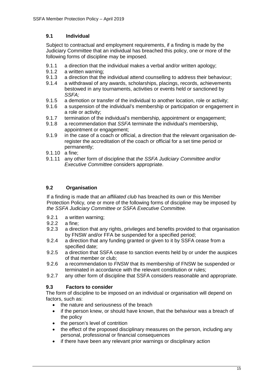## **9.1 Individual**

Subject to contractual and employment requirements, if a finding is made by the Judiciary Committee that an individual has breached this policy, one or more of the following forms of discipline may be imposed.

- 9.1.1 a direction that the individual makes a verbal and/or written apology;
- 9.1.2 a written warning;
- 9.1.3 a direction that the individual attend counselling to address their behaviour;<br>9.1.4 a withdrawal of any awards, scholarships, placings, records, achievements
- a withdrawal of any awards, scholarships, placings, records, achievements bestowed in any tournaments, activities or events held or sanctioned by *SSFA;*
- 9.1.5 a demotion or transfer of the individual to another location, role or activity;
- 9.1.6 a suspension of the individual's membership or participation or engagement in a role or activity;
- 9.1.7 termination of the individual's membership, appointment or engagement;<br>9.1.8 a recommendation that SSFA terminate the individual's membership.
- 9.1.8 a recommendation that *SSFA* terminate the individual's membership, appointment or engagement;
- 9.1.9 in the case of a coach or official, a direction that the relevant organisation deregister the accreditation of the coach or official for a set time period or permanently;
- 9.1.10 a fine;
- 9.1.11 any other form of discipline that *the SSFA Judiciary Committee and/or Executive Committee* considers appropriate.

## **9.2 Organisation**

If a finding is made that *an affiliated club* has breached its own or this Member Protection Policy*,* one or more of the following forms of discipline may be imposed by *the SSFA Judiciary Committee or SSFA Executive Committee.*

- 9.2.1 a written warning;
- 9.2.2 a fine;<br>9.2.3 a direc
- a direction that any rights, privileges and benefits provided to that organisation by FNSW and/or FFA be suspended for a specified period;
- 9.2.4 a direction that any funding granted or given to it by SSFA cease from a specified date;
- 9.2.5 a direction that SSFA cease to sanction events held by or under the auspices of that member or club;
- 9.2.6 a recommendation to *FNSW* that its membership of FNSW be suspended or terminated in accordance with the relevant constitution or rules;
- 9.2.7 any other form of discipline that SSFA considers reasonable and appropriate.

## **9.3 Factors to consider**

The form of discipline to be imposed on an individual or organisation will depend on factors, such as:

- the nature and seriousness of the breach
- if the person knew, or should have known, that the behaviour was a breach of the policy
- the person's level of contrition
- the effect of the proposed disciplinary measures on the person, including any personal, professional or financial consequences
- if there have been any relevant prior warnings or disciplinary action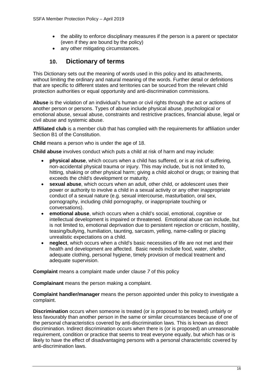- the ability to enforce disciplinary measures if the person is a parent or spectator (even if they are bound by the policy)
- any other mitigating circumstances.

## **10. Dictionary of terms**

This Dictionary sets out the meaning of words used in this policy and its attachments, without limiting the ordinary and natural meaning of the words. Further detail or definitions that are specific to different states and territories can be sourced from the relevant child protection authorities or equal opportunity and anti-discrimination commissions.

**Abuse** is the violation of an individual's human or civil rights through the act or actions of another person or persons. Types of abuse include physical abuse, psychological or emotional abuse, sexual abuse, constraints and restrictive practices, financial abuse, legal or civil abuse and systemic abuse.

**Affiliated club** is a member club that has complied with the requirements for affiliation under Section B1 of the Constitution.

**Child** means a person who is under the age of 18.

**Child abuse** involves conduct which puts a child at risk of harm and may include:

- **physical abuse**, which occurs when a child has suffered, or is at risk of suffering, non-accidental physical trauma or injury. This may include, but is not limited to, hitting, shaking or other physical harm; giving a child alcohol or drugs; or training that exceeds the child's development or maturity.
- **sexual abuse**, which occurs when an adult, other child, or adolescent uses their power or authority to involve a child in a sexual activity or any other inappropriate conduct of a sexual nature (e.g. sexual intercourse, masturbation, oral sex, pornography, including child pornography, or inappropriate touching or conversations).
- **emotional abuse**, which occurs when a child's social, emotional, cognitive or intellectual development is impaired or threatened. Emotional abuse can include, but is not limited to, emotional deprivation due to persistent rejection or criticism, hostility, teasing/bullying, humiliation, taunting, sarcasm, yelling, name-calling or placing unrealistic expectations on a child.
- **neglect**, which occurs when a child's basic necessities of life are not met and their health and development are affected. Basic needs include food, water, shelter, adequate clothing, personal hygiene, timely provision of medical treatment and adequate supervision.

**Complaint** means a complaint made under clause *7* of this policy

**Complainant** means the person making a complaint.

**Complaint handler/manager** means the person appointed under this policy to investigate a complaint.

**Discrimination** occurs when someone is treated (or is proposed to be treated) unfairly or less favourably than another person in the same or similar circumstances because of one of the personal characteristics covered by anti-discrimination laws. This is known as direct discrimination. Indirect discrimination occurs when there is (or is proposed) an unreasonable requirement, condition or practice that seems to treat everyone equally, but which has or is likely to have the effect of disadvantaging persons with a personal characteristic covered by anti-discrimination laws.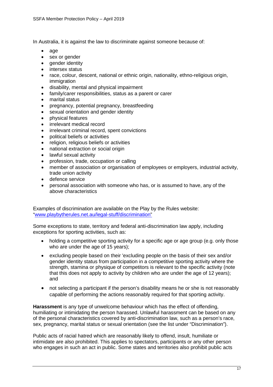In Australia, it is against the law to discriminate against someone because of:

- age
- sex or gender
- gender identity
- intersex status
- race, colour, descent, national or ethnic origin, nationality, ethno-religious origin, immigration
- disability, mental and physical impairment
- family/carer responsibilities, status as a parent or carer
- marital status
- pregnancy, potential pregnancy, breastfeeding
- sexual orientation and gender identity
- physical features
- irrelevant medical record
- irrelevant criminal record, spent convictions
- political beliefs or activities
- religion, religious beliefs or activities
- national extraction or social origin
- lawful sexual activity
- profession, trade, occupation or calling
- member of association or organisation of employees or employers, industrial activity, trade union activity
- defence service
- personal association with someone who has, or is assumed to have, any of the above characteristics

Examples of discrimination are available on the Play by the Rules website: ["www.playbytherules.net.au/legal-stuff/discrimination"](http://www.playbytherules.net.au/legal-stuff/discrimination)

Some exceptions to state, territory and federal anti-discrimination law apply, including exceptions for sporting activities, such as:

- holding a competitive sporting activity for a specific age or age group (e.g. only those who are under the age of 15 years);
- excluding people based on their 'excluding people on the basis of their sex and/or gender identity status from participation in a competitive sporting activity where the strength, stamina or physique of competitors is relevant to the specific activity (note that this does not apply to activity by children who are under the age of 12 years); and
- not selecting a participant if the person's disability means he or she is not reasonably capable of performing the actions reasonably required for that sporting activity.

**Harassment** is any type of unwelcome behaviour which has the effect of offending, humiliating or intimidating the person harassed. Unlawful harassment can be based on any of the personal characteristics covered by anti-discrimination law, such as a person's race, sex, pregnancy, marital status or sexual orientation (see the list under "Discrimination").

Public acts of racial hatred which are reasonably likely to offend, insult, humiliate or intimidate are also prohibited. This applies to spectators, participants or any other person who engages in such an act in public. Some states and territories also prohibit public acts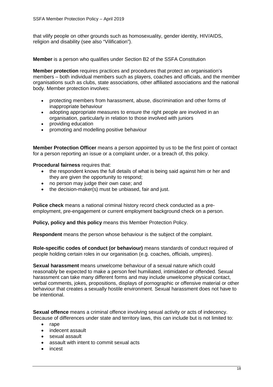that vilify people on other grounds such as homosexuality, gender identity, HIV/AIDS, religion and disability (see also "Vilification").

**Member** is a person who qualifies under Section B2 of the SSFA Constitution

**Member protection** requires practices and procedures that protect an organisation's members – both individual members such as players, coaches and officials, and the member organisations such as clubs, state associations, other affiliated associations and the national body. Member protection involves:

- protecting members from harassment, abuse, discrimination and other forms of inappropriate behaviour
- adopting appropriate measures to ensure the right people are involved in an organisation, particularly in relation to those involved with juniors
- providing education
- promoting and modelling positive behaviour

**Member Protection Officer** means a person appointed by us to be the first point of contact for a person reporting an issue or a complaint under, or a breach of, this policy.

**Procedural fairness requires that:** 

- the respondent knows the full details of what is being said against him or her and they are given the opportunity to respond;
- no person may judge their own case; and
- the decision-maker(s) must be unbiased, fair and just.

**Police check** means a national criminal history record check conducted as a preemployment, pre-engagement or current employment background check on a person.

**Policy, policy and this policy** means this Member Protection Policy.

**Respondent** means the person whose behaviour is the subject of the complaint.

**Role-specific codes of conduct (or behaviour)** means standards of conduct required of people holding certain roles in our organisation (e.g. coaches, officials, umpires).

**Sexual harassment** means unwelcome behaviour of a sexual nature which could reasonably be expected to make a person feel humiliated, intimidated or offended. Sexual harassment can take many different forms and may include unwelcome physical contact, verbal comments, jokes, propositions, displays of pornographic or offensive material or other behaviour that creates a sexually hostile environment. Sexual harassment does not have to be intentional.

**Sexual offence** means a criminal offence involving sexual activity or acts of indecency. Because of differences under state and territory laws, this can include but is not limited to:

- rape
- indecent assault
- sexual assault
- assault with intent to commit sexual acts
- incest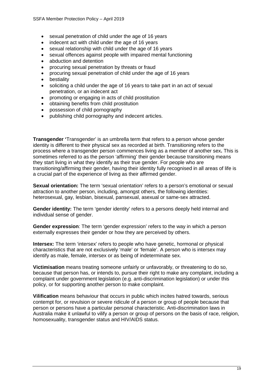- sexual penetration of child under the age of 16 years
- indecent act with child under the age of 16 years
- sexual relationship with child under the age of 16 years
- sexual offences against people with impaired mental functioning
- abduction and detention
- procuring sexual penetration by threats or fraud
- procuring sexual penetration of child under the age of 16 years
- bestiality
- soliciting a child under the age of 16 years to take part in an act of sexual penetration, or an indecent act
- promoting or engaging in acts of child prostitution
- obtaining benefits from child prostitution
- possession of child pornography
- publishing child pornography and indecent articles.

**Transgender '**Transgender' is an umbrella term that refers to a person whose gender identity is different to their physical sex as recorded at birth. Transitioning refers to the process where a transgender person commences living as a member of another sex**.** This is sometimes referred to as the person 'affirming' their gender because transitioning means they start living in what they identify as their true gender. For people who are transitioning/affirming their gender, having their identity fully recognised in all areas of life is a crucial part of the experience of living as their affirmed gender.

**Sexual orientation:** The term 'sexual orientation' refers to a person's emotional or sexual attraction to another person, including, amongst others, the following identities: heterosexual, gay, lesbian, bisexual, pansexual, asexual or same-sex attracted.

**Gender identity:** The term 'gender identity' refers to a persons deeply held internal and individual sense of gender.

**Gender expression**: The term 'gender expression' refers to the way in which a person externally expresses their gender or how they are perceived by others.

**Intersex:** The term 'intersex' refers to people who have genetic, hormonal or physical characteristics that are not exclusively 'male' or 'female'. A person who is intersex may identify as male, female, intersex or as being of indeterminate sex.

**Victimisation** means treating someone unfairly or unfavorably, or threatening to do so, because that person has, or intends to, pursue their right to make any complaint, including a complaint under government legislation (e.g. anti-discrimination legislation) or under this policy, or for supporting another person to make complaint.

**Vilification** means behaviour that occurs in public which incites hatred towards, serious contempt for, or revulsion or severe ridicule of a person or group of people because that person or persons have a particular personal characteristic. Anti-discrimination laws in Australia make it unlawful to vilify a person or group of persons on the basis of race, religion, homosexuality, transgender status and HIV/AIDS status.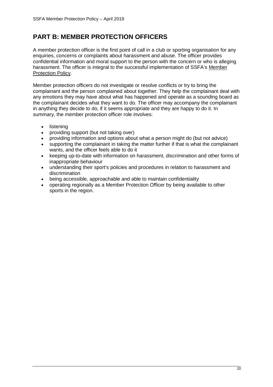## **PART B: MEMBER PROTECTION OFFICERS**

A member protection officer is the first point of call in a club or sporting organisation for any enquiries, concerns or complaints about harassment and abuse. The officer provides confidential information and moral support to the person with the concern or who is alleging harassment. The officer is integral to the successful implementation of SSFA's [Member](http://www.ausport.gov.au/ethics/memprotpol.asp)  [Protection Policy.](http://www.ausport.gov.au/ethics/memprotpol.asp)

Member protection officers do not investigate or resolve conflicts or try to bring the complainant and the person complained about together. They help the complainant deal with any emotions they may have about what has happened and operate as a sounding board as the complainant decides what they want to do. The officer may accompany the complainant in anything they decide to do, if it seems appropriate and they are happy to do it. In summary, the member protection officer role involves:

- listening
- providing support (but not taking over)
- providing information and options about what a person might do (but not advice)
- supporting the complainant in taking the matter further if that is what the complainant wants, and the officer feels able to do it
- keeping up-to-date with information on harassment, discrimination and other forms of inappropriate behaviour
- understanding their sport's policies and procedures in relation to harassment and discrimination
- being accessible, approachable and able to maintain confidentiality
- operating regionally as a Member Protection Officer by being available to other sports in the region.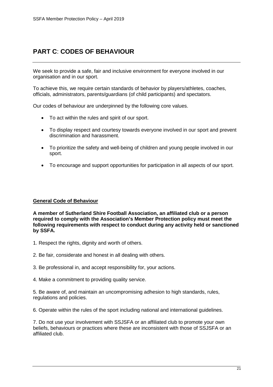## **PART C**: **CODES OF BEHAVIOUR**

We seek to provide a safe, fair and inclusive environment for everyone involved in our organisation and in our sport.

To achieve this, we require certain standards of behavior by players/athletes, coaches, officials, administrators, parents/guardians (of child participants) and spectators.

Our codes of behaviour are underpinned by the following core values.

- To act within the rules and spirit of our sport.
- To display respect and courtesy towards everyone involved in our sport and prevent discrimination and harassment.
- To prioritize the safety and well-being of children and young people involved in our sport.
- To encourage and support opportunities for participation in all aspects of our sport.

#### **General Code of Behaviour**

**A member of Sutherland Shire Football Association, an affiliated club or a person required to comply with the Association's Member Protection policy must meet the following requirements with respect to conduct during any activity held or sanctioned by SSFA.**

- 1. Respect the rights, dignity and worth of others.
- 2. Be fair, considerate and honest in all dealing with others.
- 3. Be professional in, and accept responsibility for, your actions.
- 4. Make a commitment to providing quality service.

5. Be aware of, and maintain an uncompromising adhesion to high standards, rules, regulations and policies.

6. Operate within the rules of the sport including national and international guidelines.

7. Do not use your involvement with SSJSFA or an affiliated club to promote your own beliefs, behaviours or practices where these are inconsistent with those of SSJSFA or an affiliated club.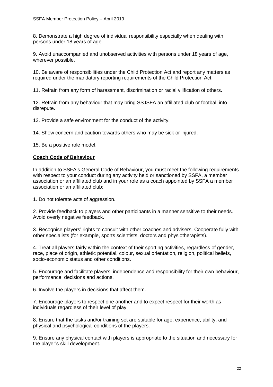8. Demonstrate a high degree of individual responsibility especially when dealing with persons under 18 years of age.

9. Avoid unaccompanied and unobserved activities with persons under 18 years of age, wherever possible.

10. Be aware of responsibilities under the Child Protection Act and report any matters as required under the mandatory reporting requirements of the Child Protection Act.

11. Refrain from any form of harassment, discrimination or racial vilification of others.

12. Refrain from any behaviour that may bring SSJSFA an affiliated club or football into disrepute.

13. Provide a safe environment for the conduct of the activity.

14. Show concern and caution towards others who may be sick or injured.

15. Be a positive role model.

#### **Coach Code of Behaviour**

In addition to SSFA's General Code of Behaviour, you must meet the following requirements with respect to your conduct during any activity held or sanctioned by SSFA, a member association or an affiliated club and in your role as a coach appointed by SSFA a member association or an affiliated club:

1. Do not tolerate acts of aggression.

2. Provide feedback to players and other participants in a manner sensitive to their needs. Avoid overly negative feedback.

3. Recognise players' rights to consult with other coaches and advisers. Cooperate fully with other specialists (for example, sports scientists, doctors and physiotherapists).

4. Treat all players fairly within the context of their sporting activities, regardless of gender, race, place of origin, athletic potential, colour, sexual orientation, religion, political beliefs, socio-economic status and other conditions.

5. Encourage and facilitate players' independence and responsibility for their own behaviour, performance, decisions and actions.

6. Involve the players in decisions that affect them.

7. Encourage players to respect one another and to expect respect for their worth as individuals regardless of their level of play.

8. Ensure that the tasks and/or training set are suitable for age, experience, ability, and physical and psychological conditions of the players.

9. Ensure any physical contact with players is appropriate to the situation and necessary for the player's skill development.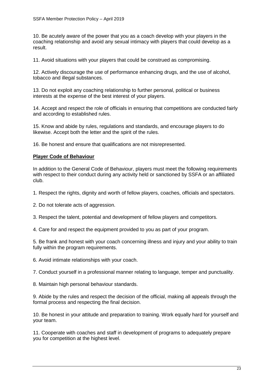10. Be acutely aware of the power that you as a coach develop with your players in the coaching relationship and avoid any sexual intimacy with players that could develop as a result.

11. Avoid situations with your players that could be construed as compromising.

12. Actively discourage the use of performance enhancing drugs, and the use of alcohol, tobacco and illegal substances.

13. Do not exploit any coaching relationship to further personal, political or business interests at the expense of the best interest of your players.

14. Accept and respect the role of officials in ensuring that competitions are conducted fairly and according to established rules.

15. Know and abide by rules, regulations and standards, and encourage players to do likewise. Accept both the letter and the spirit of the rules.

16. Be honest and ensure that qualifications are not misrepresented.

#### **Player Code of Behaviour**

In addition to the General Code of Behaviour, players must meet the following requirements with respect to their conduct during any activity held or sanctioned by SSFA or an affiliated club.

- 1. Respect the rights, dignity and worth of fellow players, coaches, officials and spectators.
- 2. Do not tolerate acts of aggression.
- 3. Respect the talent, potential and development of fellow players and competitors.
- 4. Care for and respect the equipment provided to you as part of your program.

5. Be frank and honest with your coach concerning illness and injury and your ability to train fully within the program requirements.

6. Avoid intimate relationships with your coach.

7. Conduct yourself in a professional manner relating to language, temper and punctuality.

8. Maintain high personal behaviour standards.

9. Abide by the rules and respect the decision of the official, making all appeals through the formal process and respecting the final decision.

10. Be honest in your attitude and preparation to training. Work equally hard for yourself and your team.

11. Cooperate with coaches and staff in development of programs to adequately prepare you for competition at the highest level.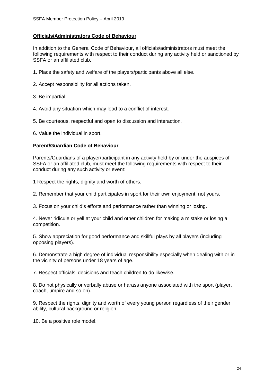#### **Officials/Administrators Code of Behaviour**

In addition to the General Code of Behaviour, all officials/administrators must meet the following requirements with respect to their conduct during any activity held or sanctioned by SSFA or an affiliated club.

- 1. Place the safety and welfare of the players/participants above all else.
- 2. Accept responsibility for all actions taken.
- 3. Be impartial.
- 4. Avoid any situation which may lead to a conflict of interest.
- 5. Be courteous, respectful and open to discussion and interaction.
- 6. Value the individual in sport.

#### **Parent/Guardian Code of Behaviour**

Parents/Guardians of a player/participant in any activity held by or under the auspices of SSFA or an affiliated club, must meet the following requirements with respect to their conduct during any such activity or event:

- 1 Respect the rights, dignity and worth of others.
- 2. Remember that your child participates in sport for their own enjoyment, not yours.
- 3. Focus on your child's efforts and performance rather than winning or losing.

4. Never ridicule or yell at your child and other children for making a mistake or losing a competition.

5. Show appreciation for good performance and skillful plays by all players (including opposing players).

6. Demonstrate a high degree of individual responsibility especially when dealing with or in the vicinity of persons under 18 years of age.

7. Respect officials' decisions and teach children to do likewise.

8. Do not physically or verbally abuse or harass anyone associated with the sport (player, coach, umpire and so on).

9. Respect the rights, dignity and worth of every young person regardless of their gender, ability, cultural background or religion.

10. Be a positive role model.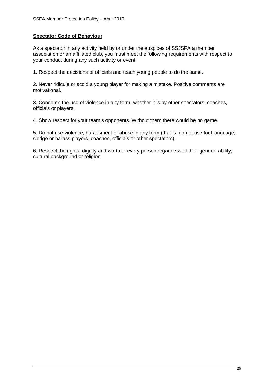#### **Spectator Code of Behaviour**

As a spectator in any activity held by or under the auspices of SSJSFA a member association or an affiliated club, you must meet the following requirements with respect to your conduct during any such activity or event:

1. Respect the decisions of officials and teach young people to do the same.

2. Never ridicule or scold a young player for making a mistake. Positive comments are motivational.

3. Condemn the use of violence in any form, whether it is by other spectators, coaches, officials or players.

4. Show respect for your team's opponents. Without them there would be no game.

5. Do not use violence, harassment or abuse in any form (that is, do not use foul language, sledge or harass players, coaches, officials or other spectators).

6. Respect the rights, dignity and worth of every person regardless of their gender, ability, cultural background or religion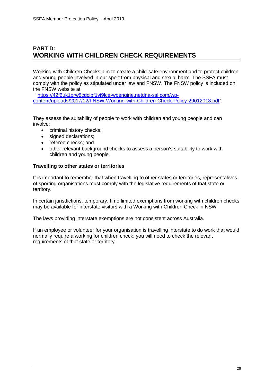## **PART D: WORKING WITH CHILDREN CHECK REQUIREMENTS**

Working with Children Checks aim to create a child-safe environment and to protect children and young people involved in our sport from physical and sexual harm. The SSFA must comply with the policy as stipulated under law and FNSW. The FNSW policy is included on the FNSW website at:

 ["https://42f6uk1prw8cdcjbf1vj9lce-wpengine.netdna-ssl.com/wp](https://42f6uk1prw8cdcjbf1vj9lce-wpengine.netdna-ssl.com/wp-content/uploads/2017/12/FNSW-Working-with-Children-Check-Policy-29012018.pdf)[content/uploads/2017/12/FNSW-Working-with-Children-Check-Policy-29012018.pdf"](https://42f6uk1prw8cdcjbf1vj9lce-wpengine.netdna-ssl.com/wp-content/uploads/2017/12/FNSW-Working-with-Children-Check-Policy-29012018.pdf).

They assess the suitability of people to work with children and young people and can involve:

- criminal history checks;
- signed declarations;
- referee checks; and
- other relevant background checks to assess a person's suitability to work with children and young people.

#### **Travelling to other states or territories**

It is important to remember that when travelling to other states or territories, representatives of sporting organisations must comply with the legislative requirements of that state or territory.

In certain jurisdictions, temporary, time limited exemptions from working with children checks may be available for interstate visitors with a Working with Children Check in NSW

The laws providing interstate exemptions are not consistent across Australia.

If an employee or volunteer for your organisation is travelling interstate to do work that would normally require a working for children check, you will need to check the relevant requirements of that state or territory.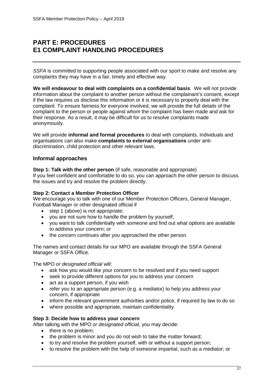## **PART E: PROCEDURES E1 COMPLAINT HANDLING PROCEDURES**

*SSFA* is committed to supporting people associated with our sport to make and resolve any complaints they may have in a fair, timely and effective way.

**We will endeavour to deal with complaints on a confidential basis**. We will not provide information about the complaint to another person without the complainant's consent, except if the law requires us disclose this information or it is necessary to properly deal with the complaint. To ensure fairness for everyone involved, we will provide the full details of the complaint to the person or people against whom the complaint has been made and ask for their response. As a result, it may be difficult for us to resolve complaints made anonymously.

We will provide **informal and formal procedures** to deal with complaints. Individuals and organisations can also make **complaints to external organisations** under antidiscrimination, child protection and other relevant laws.

## **Informal approaches**

#### **Step 1: Talk with the other person** (if safe, reasonable and appropriate)

If you feel confident and comfortable to do so, you can approach the other person to discuss the issues and try and resolve the problem directly.

#### **Step 2: Contact a Member Protection Officer**

We encourage you to talk with one of our Member Protection Officers, General Manager, Football Manager or other designated official if

- step 1 (above) is not appropriate;
- you are not sure how to handle the problem by yourself;
- you want to talk confidentially with someone and find out what options are available to address your concern; or
- the concern continues after you approached the other person.

The names and contact details for our MPO are available through the SSFA General Manager or SSFA Office.

The MPO *or designated official* will:

- ask how you would like your concern to be resolved and if you need support
- seek to provide different options for you to address your concern
- act as a support person, if you wish
- refer you to an appropriate person (e.g. a mediator) to help you address your concern, if appropriate
- inform the relevant government authorities and/or police, if required by law to do so
- where possible and appropriate, maintain confidentiality.

#### **Step 3: Decide how to address your concern**

After talking with the MPO *or designated official*, you may decide:

- there is no problem:
- the problem is minor and you do not wish to take the matter forward;
- to try and resolve the problem yourself, with or without a support person;
- to resolve the problem with the help of someone impartial, such as a mediator; or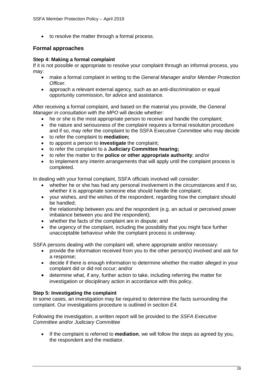• to resolve the matter through a formal process.

## **Formal approaches**

#### **Step 4: Making a formal complaint**

If it is not possible or appropriate to resolve your complaint through an informal process, you may:

- make a formal complaint in writing to the *General Manager and/or Member Protection Officer.*
- approach a relevant external agency, such as an anti-discrimination or equal opportunity commission, for advice and assistance.

After receiving a formal complaint, and based on the material you provide, the *General Manager in consultation with the MPO* will decide whether:

- he or she is the most appropriate person to receive and handle the complaint;
- the nature and seriousness of the complaint requires a formal resolution procedure and if so, may refer the complaint to the SSFA Executive Committee who may decide
- to refer the complaint to **mediation;**
- to appoint a person to **investigate** the complaint;
- to refer the complaint to a **Judiciary Committee hearing;**
- to refer the matter to the **police or other appropriate authority**; and/or
- to implement any interim arrangements that will apply until the complaint process is completed.

In dealing with your formal complaint, SSFA officials involved will consider:

- whether he or she has had any personal involvement in the circumstances and if so, whether it is appropriate someone else should handle the complaint;
- your wishes, and the wishes of the respondent, regarding how the complaint should be handled;
- the relationship between you and the respondent (e.g. an actual or perceived power imbalance between you and the respondent);
- whether the facts of the complaint are in dispute; and
- the urgency of the complaint, including the possibility that you might face further unacceptable behaviour while the complaint process is underway.

SSFA persons dealing with the complaint will, where appropriate and/or necessary:

- provide the information received from you to the other person(s) involved and ask for a response;
- decide if there is enough information to determine whether the matter alleged in your complaint did or did not occur; and/or
- determine what, if any, further action to take, including referring the matter for investigation or disciplinary action in accordance with this policy.

## **Step 5: Investigating the complaint**

In some cases, an investigation may be required to determine the facts surrounding the complaint. Our investigations procedure is outlined in *section E4.* 

Following the investigation, a written report will be provided to *the SSFA Executive Committee and/or Judiciary Committee*

• If the complaint is referred to **mediation**, we will follow the steps as agreed by you, the respondent and the mediator.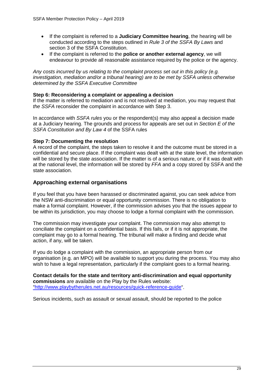- If the complaint is referred to a **Judiciary Committee hearing**, the hearing will be conducted according to the steps outlined in *Rule 3 of the SSFA By Laws* and section 3 of the SSFA Constitution.
- If the complaint is referred to the **police or another external agency**, we will endeavour to provide all reasonable assistance required by the police or the agency.

*Any costs incurred by us relating to the complaint process set out in this policy (e.g. investigation, mediation and/or a tribunal hearing) are to be met by SSFA unless otherwise determined by the SSFA Executive Committee*

#### **Step 6: Reconsidering a complaint or appealing a decision**

If the matter is referred to mediation and is not resolved at mediation, you may request that *the SSFA* reconsider the complaint in accordance with Step 3.

In accordance with *SSFA rules* you or the respondent(s) may also appeal a decision made at a Judiciary hearing. The grounds and process for appeals are set out in *Section E of the SSFA Constitution and By Law 4* of the SSFA rules

#### **Step 7: Documenting the resolution**

A record of the complaint, the steps taken to resolve it and the outcome must be stored in a confidential and secure place. If the complaint was dealt with at the state level, the information will be stored by the state association. If the matter is of a serious nature, or if it was dealt with at the national level, the information will be stored by *FFA* and a copy stored by SSFA and the state association.

#### **Approaching external organisations**

If you feel that you have been harassed or discriminated against, you can seek advice from the NSW anti-discrimination or equal opportunity commission. There is no obligation to make a formal complaint. However, if the commission advises you that the issues appear to be within its jurisdiction, you may choose to lodge a formal complaint with the commission.

The commission may investigate your complaint. The commission may also attempt to conciliate the complaint on a confidential basis. If this fails, or if it is not appropriate, the complaint may go to a formal hearing. The tribunal will make a finding and decide what action, if any, will be taken.

If you do lodge a complaint with the commission, an appropriate person from our organisation (e.g. an MPO) will be available to support you during the process. You may also wish to have a legal representation, particularly if the complaint goes to a formal hearing.

**Contact details for the state and territory anti-discrimination and equal opportunity commissions** are available on the Play by the Rules website: ["http://www.playbytherules.net.au/resources/quick-reference-guide"](http://www.playbytherules.net.au/resources/quick-reference-guide).

Serious incidents, such as assault or sexual assault, should be reported to the police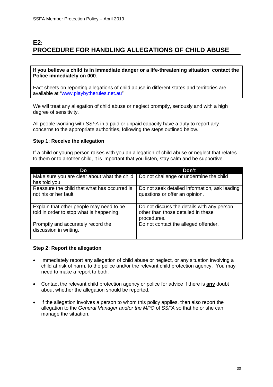## **E2: PROCEDURE FOR HANDLING ALLEGATIONS OF CHILD ABUSE**

#### **If you believe a child is in immediate danger or a life-threatening situation**, **contact the Police immediately on 000**.

Fact sheets on reporting allegations of child abuse in different states and territories are available at ["www.playbytherules.net.au"](http://www.playbytherules.net.au/)

We will treat any allegation of child abuse or neglect promptly, seriously and with a high degree of sensitivity.

All people working with *SSFA* in a paid or unpaid capacity have a duty to report any concerns to the appropriate authorities, following the steps outlined below.

#### **Step 1: Receive the allegation**

If a child or young person raises with you an allegation of child abuse or neglect that relates to them or to another child, it is important that you listen, stay calm and be supportive.

| Do                                                                                   | Don't                                                                                           |
|--------------------------------------------------------------------------------------|-------------------------------------------------------------------------------------------------|
| Make sure you are clear about what the child<br>has told you                         | Do not challenge or undermine the child                                                         |
| Reassure the child that what has occurred is<br>not his or her fault                 | Do not seek detailed information, ask leading<br>questions or offer an opinion.                 |
| Explain that other people may need to be<br>told in order to stop what is happening. | Do not discuss the details with any person<br>other than those detailed in these<br>procedures. |
| Promptly and accurately record the<br>discussion in writing.                         | Do not contact the alleged offender.                                                            |

#### **Step 2: Report the allegation**

- Immediately report any allegation of child abuse or neglect, or any situation involving a child at risk of harm, to the police and/or the relevant child protection agency. You may need to make a report to both.
- Contact the relevant child protection agency or police for advice if there is **any** doubt about whether the allegation should be reported.
- If the allegation involves a person to whom this policy applies, then also report the allegation to the *General Manager and/or the MPO* of *SSFA* so that he or she can manage the situation.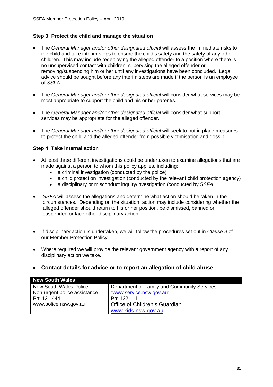#### **Step 3: Protect the child and manage the situation**

- The *General Manager and/or other designated official* will assess the immediate risks to the child and take interim steps to ensure the child's safety and the safety of any other children. This may include redeploying the alleged offender to a position where there is no unsupervised contact with children, supervising the alleged offender or removing/suspending him or her until any investigations have been concluded. Legal advice should be sought before any interim steps are made if the person is an employee of *SSFA.*
- The *General Manager and/or other designated official* will consider what services may be most appropriate to support the child and his or her parent/s.
- The *General Manager and/or other designated official* will consider what support services may be appropriate for the alleged offender.
- The *General Manager and/or other designated official* will seek to put in place measures to protect the child and the alleged offender from possible victimisation and gossip.

#### **Step 4: Take internal action**

- At least three different investigations could be undertaken to examine allegations that are made against a person to whom this policy applies, including:
	- a criminal investigation (conducted by the police)
	- a child protection investigation (conducted by the relevant child protection agency)
	- a disciplinary or misconduct inquiry/investigation (conducted by *SSFA*
- *SSFA* will assess the allegations and determine what action should be taken in the circumstances. Depending on the situation, action may include considering whether the alleged offender should return to his or her position, be dismissed, banned or suspended or face other disciplinary action.
- If disciplinary action is undertaken, we will follow the procedures set out in *Clause 9* of our Member Protection Policy.
- Where required we will provide the relevant government agency with a report of any disciplinary action we take.
- **Contact details for advice or to report an allegation of child abuse**

| <b>New South Wales</b>        |                                             |
|-------------------------------|---------------------------------------------|
| <b>New South Wales Police</b> | Department of Family and Community Services |
| Non-urgent police assistance  | "www.service.nsw.gov.au"                    |
| Ph: 131 444                   | Ph: 132 111                                 |
| www.police.nsw.gov.au         | Office of Children's Guardian               |
|                               | www.kids.nsw.gov.au.                        |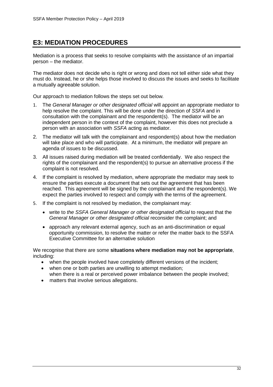## **E3: MEDIATION PROCEDURES**

Mediation is a process that seeks to resolve complaints with the assistance of an impartial person – the mediator.

The mediator does not decide who is right or wrong and does not tell either side what they must do. Instead, he or she helps those involved to discuss the issues and seeks to facilitate a mutually agreeable solution.

Our approach to mediation follows the steps set out below*.*

- 1. The *General Manager or other designated official* will appoint an appropriate mediator to help resolve the complaint. This will be done under the direction of *SSFA* and in consultation with the complainant and the respondent(s). The mediator will be an independent person in the context of the complaint, however this does not preclude a person with an association with *SSFA* acting as mediator.
- 2. The mediator will talk with the complainant and respondent(s) about how the mediation will take place and who will participate. At a minimum, the mediator will prepare an agenda of issues to be discussed.
- 3. All issues raised during mediation will be treated confidentially. We also respect the rights of the complainant and the respondent(s) to pursue an alternative process if the complaint is not resolved.
- 4. If the complaint is resolved by mediation, where appropriate the mediator may seek to ensure the parties execute a document that sets out the agreement that has been reached. This agreement will be signed by the complainant and the respondent(s). We expect the parties involved to respect and comply with the terms of the agreement.
- 5. If the complaint is not resolved by mediation, the complainant may:
	- write to *the SSFA General Manager or other designated official* to request that the *General Manager or other designated official* reconsider the complaint; and
	- approach any relevant external agency, such as an anti-discrimination or equal opportunity commission, to resolve the matter or refer the matter back to the SSFA Executive Committee for an alternative solution

We recognise that there are some **situations where mediation may not be appropriate**, including:

- when the people involved have completely different versions of the incident;
- when one or both parties are unwilling to attempt mediation; when there is a real or perceived power imbalance between the people involved;
- matters that involve serious allegations.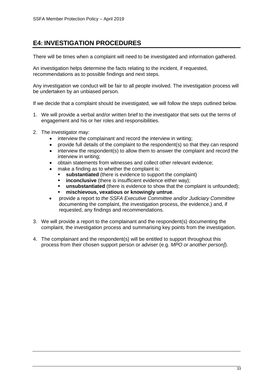## **E4: INVESTIGATION PROCEDURES**

There will be times when a complaint will need to be investigated and information gathered.

An investigation helps determine the facts relating to the incident, if requested, recommendations as to possible findings and next steps.

Any investigation we conduct will be fair to all people involved. The investigation process will be undertaken by an unbiased person.

If we decide that a complaint should be investigated, we will follow the steps outlined below.

- 1. We will provide a verbal and/or written brief to the investigator that sets out the terms of engagement and his or her roles and responsibilities.
- 2. The investigator may:
	- interview the complainant and record the interview in writing;
	- provide full details of the complaint to the respondent(s) so that they can respond
	- interview the respondent(s) to allow them to answer the complaint and record the interview in writing;
	- obtain statements from witnesses and collect other relevant evidence;
	- make a finding as to whether the complaint is:
		- **substantiated** (there is evidence to support the complaint)
		- **inconclusive** (there is insufficient evidence either way):
		- **unsubstantiated** (there is evidence to show that the complaint is unfounded);
		- **mischievous, vexatious or knowingly untrue**.
	- provide a report to *the SSFA Executive Committee and/or Judiciary Committee*  documenting the complaint, the investigation process, the evidence,) and, if requested, any findings and recommendations.
- 3. We will provide a report to the complainant and the respondent(s) documenting the complaint, the investigation process and summarising key points from the investigation.
- 4. The complainant and the respondent(s) will be entitled to support throughout this process from their chosen support person or adviser (e.g. *MPO or another person]*).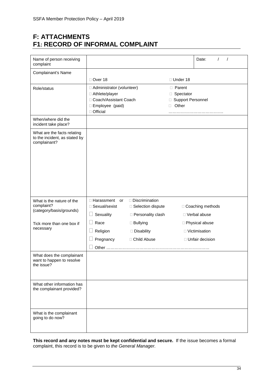## **F: ATTACHMENTS F1: RECORD OF INFORMAL COMPLAINT**

| Name of person receiving<br>complaint                                        |                                                                                                             |                                              |                                                         | Date:                               |
|------------------------------------------------------------------------------|-------------------------------------------------------------------------------------------------------------|----------------------------------------------|---------------------------------------------------------|-------------------------------------|
| Complainant's Name                                                           |                                                                                                             |                                              |                                                         |                                     |
|                                                                              | □ Over 18                                                                                                   |                                              | $\Box$ Under 18                                         |                                     |
| Role/status                                                                  | □ Administrator (volunteer)<br>□ Athlete/player<br>Coach/Assistant Coach<br>□ Employee (paid)<br>□ Official |                                              | □ Parent<br>□ Spectator<br>□ Support Personnel<br>Other |                                     |
| When/where did the<br>incident take place?                                   |                                                                                                             |                                              |                                                         |                                     |
| What are the facts relating<br>to the incident, as stated by<br>complainant? |                                                                                                             |                                              |                                                         |                                     |
| What is the nature of the<br>complaint?                                      | $\Box$ Harassment or<br>□ Sexual/sexist                                                                     | $\Box$ Discrimination<br>□ Selection dispute |                                                         | □ Coaching methods                  |
| (category/basis/grounds)                                                     | Sexuality                                                                                                   | □ Personality clash                          |                                                         | □ Verbal abuse                      |
| Tick more than one box if<br>necessary                                       | Race<br>Religion                                                                                            | $\Box$ Bullying<br>Disability                |                                                         | □ Physical abuse<br>□ Victimisation |
|                                                                              | Pregnancy                                                                                                   | □ Child Abuse                                |                                                         | □ Unfair decision                   |
|                                                                              |                                                                                                             |                                              |                                                         |                                     |
| What does the complainant<br>want to happen to resolve<br>the issue?         |                                                                                                             |                                              |                                                         |                                     |
| What other information has<br>the complainant provided?                      |                                                                                                             |                                              |                                                         |                                     |
| What is the complainant<br>going to do now?                                  |                                                                                                             |                                              |                                                         |                                     |

**This record and any notes must be kept confidential and secure.** If the issue becomes a formal complaint, this record is to be given to *the General Manager.*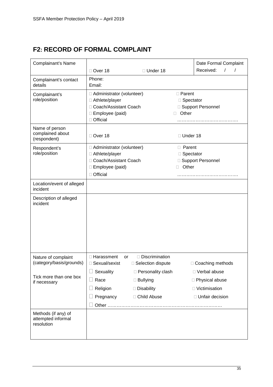# **F2: RECORD OF FORMAL COMPLAINT**

| Complainant's Name                                      |                                                                                                               |                                                                                 |                                         | Date Formal Complaint                                                      |
|---------------------------------------------------------|---------------------------------------------------------------------------------------------------------------|---------------------------------------------------------------------------------|-----------------------------------------|----------------------------------------------------------------------------|
|                                                         | □ Over 18                                                                                                     | □ Under 18                                                                      |                                         | Received:<br>$\prime$                                                      |
| Complainant's contact<br>details                        | Phone:<br>Email:                                                                                              |                                                                                 |                                         |                                                                            |
| Complainant's<br>role/position                          | □ Administrator (volunteer)<br>□ Athlete/player<br>□ Coach/Assistant Coach<br>□ Employee (paid)<br>□ Official |                                                                                 | □ Parent<br>□ Spectator<br>Other        | □ Support Personnel                                                        |
| Name of person<br>complained about<br>(respondent)      | Over 18                                                                                                       |                                                                                 | □ Under 18                              |                                                                            |
| Respondent's<br>role/position                           | □ Administrator (volunteer)<br>□ Athlete/player<br>□ Coach/Assistant Coach<br>□ Employee (paid)<br>□ Official |                                                                                 | <b>D</b> Parent<br>□ Spectator<br>Other | □ Support Personnel                                                        |
| Location/event of alleged<br>incident                   |                                                                                                               |                                                                                 |                                         |                                                                            |
| Description of alleged<br>incident                      |                                                                                                               |                                                                                 |                                         |                                                                            |
| Nature of complaint<br>(category/basis/grounds)         | □ Harassment<br>or<br>Sexual/sexist                                                                           | □ Discrimination<br>$\Box$ Selection dispute                                    |                                         | $\Box$ Coaching methods                                                    |
| Tick more than one box<br>if necessary                  | Sexuality<br>Race<br>Religion<br>Pregnancy                                                                    | □ Personality clash<br>$\Box$ Bullying<br>$\square$ Disability<br>□ Child Abuse |                                         | □ Verbal abuse<br>□ Physical abuse<br>□ Victimisation<br>□ Unfair decision |
| Methods (if any) of<br>attempted informal<br>resolution |                                                                                                               |                                                                                 |                                         |                                                                            |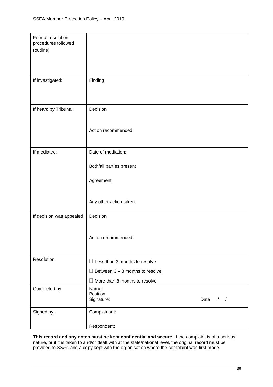| Formal resolution<br>procedures followed<br>(outline) |                                                           |
|-------------------------------------------------------|-----------------------------------------------------------|
| If investigated:                                      | Finding                                                   |
| If heard by Tribunal:                                 | Decision                                                  |
|                                                       | Action recommended                                        |
| If mediated:                                          | Date of mediation:                                        |
|                                                       | Both/all parties present                                  |
|                                                       | Agreement                                                 |
|                                                       | Any other action taken                                    |
| If decision was appealed                              | Decision                                                  |
|                                                       | Action recommended                                        |
| Resolution                                            | $\Box$ Less than 3 months to resolve                      |
|                                                       | Between $3 - 8$ months to resolve<br>H                    |
|                                                       | More than 8 months to resolve                             |
| Completed by                                          | Name:<br>Position:<br>Date<br>Signature:<br>$\frac{1}{2}$ |
|                                                       |                                                           |
| Signed by:                                            | Complainant:                                              |
|                                                       | Respondent:                                               |

**This record and any notes must be kept confidential and secure.** If the complaint is of a serious nature, or if it is taken to and/or dealt with at the state/national level, the original record must be provided to *SSFA* and a copy kept with the organisation where the complaint was first made.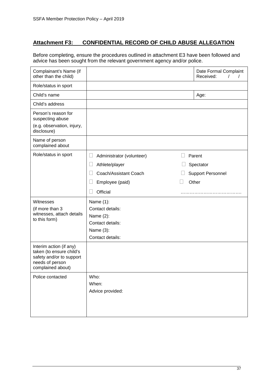## **Attachment F3: CONFIDENTIAL RECORD OF CHILD ABUSE ALLEGATION**

Before completing, ensure the procedures outlined in attachment E3 have been followed and advice has been sought from the relevant government agency and/or police.

| Complainant's Name (if<br>other than the child)                                                                         |                                                                                                     | Date Formal Complaint<br>Received:                       |
|-------------------------------------------------------------------------------------------------------------------------|-----------------------------------------------------------------------------------------------------|----------------------------------------------------------|
| Role/status in sport                                                                                                    |                                                                                                     |                                                          |
| Child's name                                                                                                            |                                                                                                     | Age:                                                     |
| Child's address                                                                                                         |                                                                                                     |                                                          |
| Person's reason for<br>suspecting abuse<br>(e.g. observation, injury,<br>disclosure)                                    |                                                                                                     |                                                          |
| Name of person<br>complained about                                                                                      |                                                                                                     |                                                          |
| Role/status in sport                                                                                                    | Administrator (volunteer)<br>Athlete/player<br>Coach/Assistant Coach<br>Employee (paid)<br>Official | Parent<br>Spectator<br><b>Support Personnel</b><br>Other |
| Witnesses<br>(if more than 3<br>witnesses, attach details<br>to this form)                                              | Name (1):<br>Contact details:<br>Name (2):<br>Contact details:<br>Name (3):<br>Contact details:     |                                                          |
| Interim action (if any)<br>taken (to ensure child's<br>safety and/or to support<br>needs of person<br>complained about) |                                                                                                     |                                                          |
| Police contacted                                                                                                        | Who:<br>When:<br>Advice provided:                                                                   |                                                          |